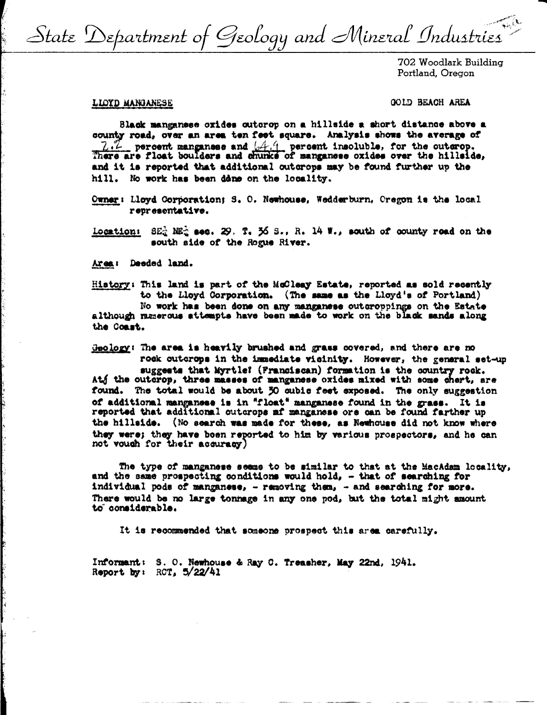State Department of Geology and Mineral Industries

702 Woodlark Building Portland, Oregon

#### LIOYD MANGANESE

GOID BEACH AREA

Black manganese oxides outcrop on a hillside a short distance above a county road, over an area ten feet square. Analysis shows the average of 7.7 percent manganese and [4.4 percent insoluble, for the outerop.<br>There are float boulders and chunks of manganese oxides over the hillside, and it is reported that additional outcrops may be found further up the hill. No work has been done on the locality.

Owner: Lloyd Corporation; S. O. Newhouse, Wedderburn, Oregon is the local representative.

 $SE_d^2$   $ME_d^2$  sec. 29. T. 36 S., R. 14 W., south of county read on the Location: south side of the Rogue River.

Area: Deeded land.

History: This land is part of the McCleay Estate, reported as sold recently to the Lloyd Corporation. (The same as the Lloyd's of Portland) No work has been done on any manganese outcroppings on the Estate although numerous attempts have been made to work on the black sands along the Coast.

Geology: The area is heavily brushed and grass covered, and there are no rock outcrops in the immediate vicinity. However, the general set-up suggests that Myrtle? (Franciscan) formation is the country rock. Atj the outerop, three masses of manganese oxides mixed with some chert, are found. The total would be about 50 oubic feet exposed. The only suggestion of additional manganese is in "float" manganese found in the grass. It is reported that additional outcrops af manganese ore can be found farther up the hillside. (No search was made for these, as Newhouse did not know where they were; they have been reported to him by various prospectors, and he can not vouch for their accuracy)

The type of manganese seems to be similar to that at the MacAdam locality, and the same prospecting conditions would hold, - that of searching for individual pods of manganese, - removing them, - and searching for more. There would be no large tonnage in any one pod, but the total might amount to considerable.

It is recommended that someone prospect this area carefully.

Informant: S. O. Newhouse & Ray C. Treasher, May 22nd, 1941. Report by: RCT. 5/22/41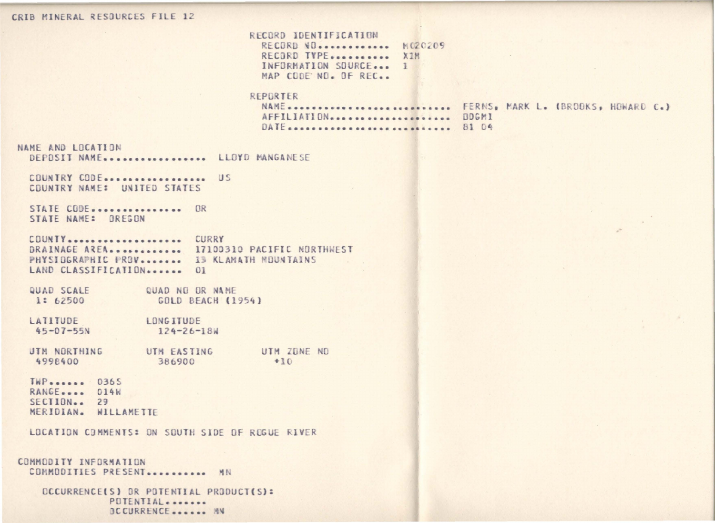### CRIB MINERAL RESOURCES FILE 12

RECORD IDENTIFICATION RECORD NO............ M020209 RECORD TYPE........... XIM INFORMATION SOURCE... 1 MAP CODE NO. OF REC..

# REPORTER

AFFILIATION ..................... DOGMI DATE ............................. 81 04

NAME............................ FERNS, MARK L. (BROOKS, HOWARD C.)

NAME AND LOCATION DEPOSIT NAME................. LLOYD MANGANESE

COUNTRY CODE................... US COUNTRY NAME: UNITED STATES

STATE CODE................ OR STATE NAME: OREGON

COUNTY.................... CURRY DRAINAGE AREA............ 17100310 PACIFIC NORTHWEST PHYSIDGRAPHIC PROV........ IS KLAMATH MOUNTAINS LAND CLASSIFICATION....... 01

QUAD SCALE QUAD NO OR NAME 1: 62500 GOLD BEACH (1954)

LATITUDE LONG ITUDE  $45 - 07 - 55N$  $124 - 26 - 18W$ 

UTM EASTING UTM ZONE ND UTM NORTHING  $+10$ 4998400 386900

TWP....... 0365 RANGE.... 014W  $SECIION - 29$ MERIDIAN. WILLAMETTE

LOCATION COMMENTS: ON SOUTH SIDE OF ROGUE RIVER

```
COMMODITY INFORMATION
COMMODITIES PRESENT........... MN
```
OCCURRENCE(S) OR POTENTIAL PRODUCT(S): POTENTIAL....... OCCURRENCE....... MN